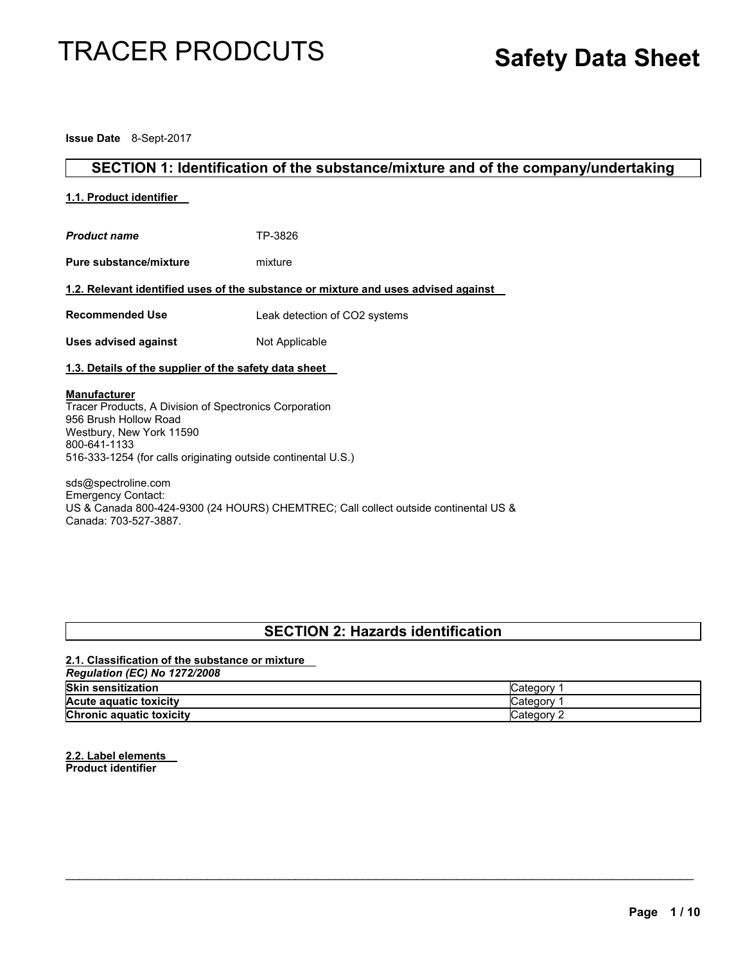# TRACER PRODCUTS

# **Safety Data Sheet**

**Issue Date** 8-Sept-2017

# **SECTION 1: Identification of the substance/mixture and of the company/undertaking**

# **1.1. Product identifier**

| <b>Product name</b>                                                                                                                                                                                                 | TP-3826                                                                            |
|---------------------------------------------------------------------------------------------------------------------------------------------------------------------------------------------------------------------|------------------------------------------------------------------------------------|
| <b>Pure substance/mixture</b>                                                                                                                                                                                       | mixture                                                                            |
|                                                                                                                                                                                                                     | 1.2. Relevant identified uses of the substance or mixture and uses advised against |
| <b>Recommended Use</b>                                                                                                                                                                                              | Leak detection of CO2 systems                                                      |
| <b>Uses advised against</b>                                                                                                                                                                                         | Not Applicable                                                                     |
| 1.3. Details of the supplier of the safety data sheet                                                                                                                                                               |                                                                                    |
| <b>Manufacturer</b><br>Tracer Products, A Division of Spectronics Corporation<br>956 Brush Hollow Road<br>Westbury, New York 11590<br>800-641-1133<br>516-333-1254 (for calls originating outside continental U.S.) |                                                                                    |
|                                                                                                                                                                                                                     |                                                                                    |

sds@spectroline.com Emergency Contact: US & Canada 800-424-9300 (24 HOURS) CHEMTREC; Call collect outside continental US & Canada: 703-527-3887.

# **SECTION 2: Hazards identification**

# **2.1. Classification of the substance or mixture**  *Regulation (EC) No 1272/2008*  **Skin sensitization** Category 1 **Acute aquatic toxicity Category 1 Category 1 Chronic aquatic toxicity Category 2 Category 2 Category 2**

 $\mathcal{L}_\text{max} = \mathcal{L}_\text{max} = \mathcal{L}_\text{max} = \mathcal{L}_\text{max} = \mathcal{L}_\text{max} = \mathcal{L}_\text{max} = \mathcal{L}_\text{max} = \mathcal{L}_\text{max} = \mathcal{L}_\text{max} = \mathcal{L}_\text{max} = \mathcal{L}_\text{max} = \mathcal{L}_\text{max} = \mathcal{L}_\text{max} = \mathcal{L}_\text{max} = \mathcal{L}_\text{max} = \mathcal{L}_\text{max} = \mathcal{L}_\text{max} = \mathcal{L}_\text{max} = \mathcal{$ 

**2.2. Label elements Product identifier**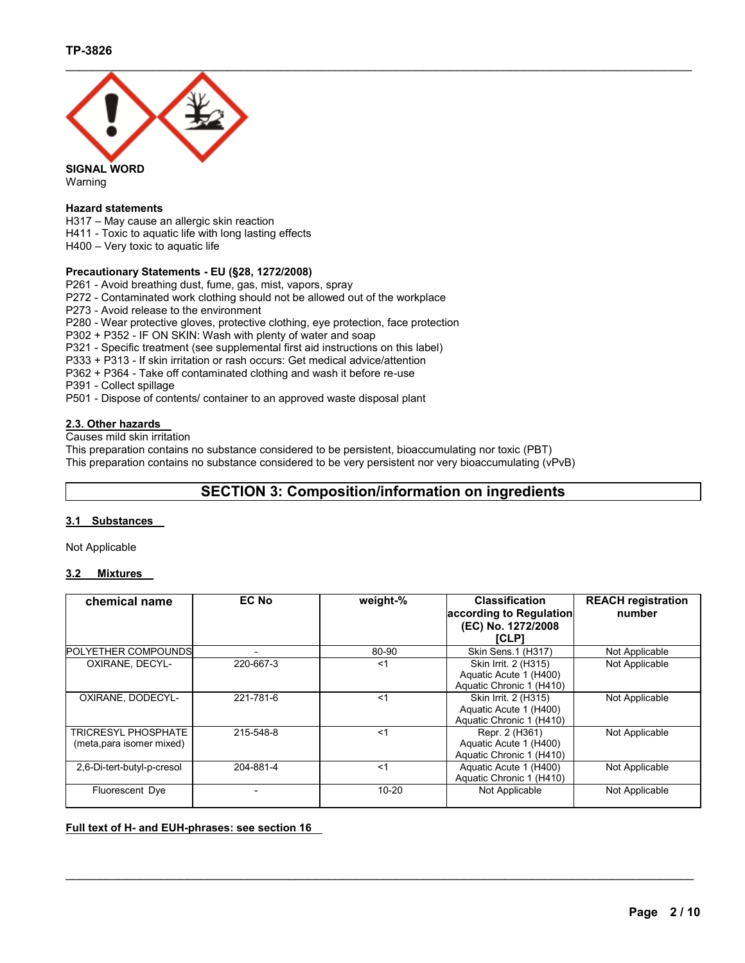

Warning

# **Hazard statements**

H317 – May cause an allergic skin reaction H411 - Toxic to aquatic life with long lasting effects H400 – Very toxic to aquatic life

# **Precautionary Statements - EU (§28, 1272/2008)**

P261 - Avoid breathing dust, fume, gas, mist, vapors, spray

P272 - Contaminated work clothing should not be allowed out of the workplace

P273 - Avoid release to the environment

P280 - Wear protective gloves, protective clothing, eye protection, face protection

P302 + P352 - IF ON SKIN: Wash with plenty of water and soap

P321 - Specific treatment (see supplemental first aid instructions on this label)

P333 + P313 - If skin irritation or rash occurs: Get medical advice/attention

P362 + P364 - Take off contaminated clothing and wash it before re-use

P391 - Collect spillage

P501 - Dispose of contents/ container to an approved waste disposal plant

# **2.3. Other hazards**

Causes mild skin irritation

This preparation contains no substance considered to be persistent, bioaccumulating nor toxic (PBT) This preparation contains no substance considered to be very persistent nor very bioaccumulating (vPvB)

# **SECTION 3: Composition/information on ingredients**

# **3.1 Substances**

Not Applicable

# **3.2 Mixtures**

| <b>EC No</b>             | weight-%  | <b>Classification</b>    | <b>REACH registration</b>                                                                                                                         |
|--------------------------|-----------|--------------------------|---------------------------------------------------------------------------------------------------------------------------------------------------|
|                          |           |                          | number                                                                                                                                            |
|                          |           |                          |                                                                                                                                                   |
|                          |           |                          |                                                                                                                                                   |
| $\overline{\phantom{a}}$ | 80-90     | Skin Sens.1 (H317)       | Not Applicable                                                                                                                                    |
| 220-667-3                | $<$ 1     | Skin Irrit. 2 (H315)     | Not Applicable                                                                                                                                    |
|                          |           | Aquatic Acute 1 (H400)   |                                                                                                                                                   |
|                          |           | Aquatic Chronic 1 (H410) |                                                                                                                                                   |
| 221-781-6                | $<$ 1     | Skin Irrit. 2 (H315)     | Not Applicable                                                                                                                                    |
|                          |           | Aquatic Acute 1 (H400)   |                                                                                                                                                   |
|                          |           |                          |                                                                                                                                                   |
| 215-548-8                | $<$ 1     | Repr. 2 (H361)           | Not Applicable                                                                                                                                    |
|                          |           | Aquatic Acute 1 (H400)   |                                                                                                                                                   |
|                          |           |                          |                                                                                                                                                   |
| 204-881-4                | $<$ 1     | Aquatic Acute 1 (H400)   | Not Applicable                                                                                                                                    |
|                          |           |                          |                                                                                                                                                   |
|                          | $10 - 20$ | Not Applicable           | Not Applicable                                                                                                                                    |
|                          |           |                          | according to Regulation<br>(EC) No. 1272/2008<br><b>ICLP1</b><br>Aquatic Chronic 1 (H410)<br>Aquatic Chronic 1 (H410)<br>Aquatic Chronic 1 (H410) |

 $\mathcal{L}_\text{max} = \mathcal{L}_\text{max} = \mathcal{L}_\text{max} = \mathcal{L}_\text{max} = \mathcal{L}_\text{max} = \mathcal{L}_\text{max} = \mathcal{L}_\text{max} = \mathcal{L}_\text{max} = \mathcal{L}_\text{max} = \mathcal{L}_\text{max} = \mathcal{L}_\text{max} = \mathcal{L}_\text{max} = \mathcal{L}_\text{max} = \mathcal{L}_\text{max} = \mathcal{L}_\text{max} = \mathcal{L}_\text{max} = \mathcal{L}_\text{max} = \mathcal{L}_\text{max} = \mathcal{$ 

**Full text of H- and EUH-phrases: see section 16**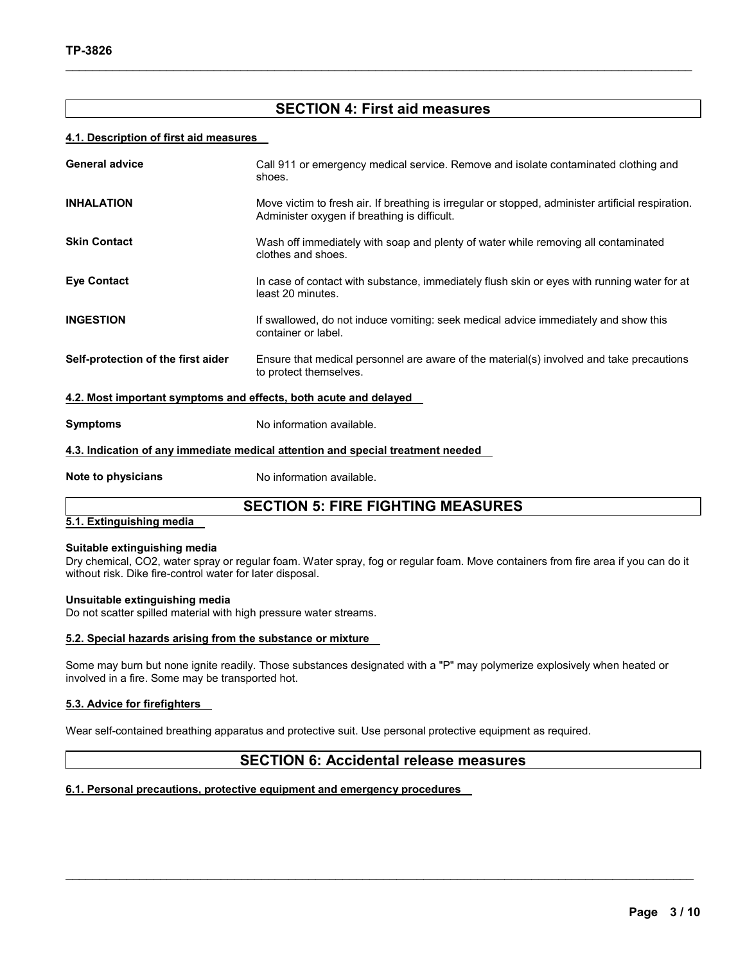# **SECTION 4: First aid measures**

 $\mathcal{L}_\mathcal{L} = \{ \mathcal{L}_\mathcal{L} = \{ \mathcal{L}_\mathcal{L} = \{ \mathcal{L}_\mathcal{L} = \{ \mathcal{L}_\mathcal{L} = \{ \mathcal{L}_\mathcal{L} = \{ \mathcal{L}_\mathcal{L} = \{ \mathcal{L}_\mathcal{L} = \{ \mathcal{L}_\mathcal{L} = \{ \mathcal{L}_\mathcal{L} = \{ \mathcal{L}_\mathcal{L} = \{ \mathcal{L}_\mathcal{L} = \{ \mathcal{L}_\mathcal{L} = \{ \mathcal{L}_\mathcal{L} = \{ \mathcal{L}_\mathcal{$ 

# **4.1. Description of first aid measures**

| <b>General advice</b>                                                           | Call 911 or emergency medical service. Remove and isolate contaminated clothing and<br>shoes.                                                      |  |  |
|---------------------------------------------------------------------------------|----------------------------------------------------------------------------------------------------------------------------------------------------|--|--|
| <b>INHALATION</b>                                                               | Move victim to fresh air. If breathing is irregular or stopped, administer artificial respiration.<br>Administer oxygen if breathing is difficult. |  |  |
| <b>Skin Contact</b>                                                             | Wash off immediately with soap and plenty of water while removing all contaminated<br>clothes and shoes.                                           |  |  |
| <b>Eye Contact</b>                                                              | In case of contact with substance, immediately flush skin or eyes with running water for at<br>least 20 minutes.                                   |  |  |
| <b>INGESTION</b>                                                                | If swallowed, do not induce vomiting: seek medical advice immediately and show this<br>container or label.                                         |  |  |
| Self-protection of the first aider                                              | Ensure that medical personnel are aware of the material(s) involved and take precautions<br>to protect themselves.                                 |  |  |
| 4.2. Most important symptoms and effects, both acute and delayed                |                                                                                                                                                    |  |  |
| <b>Symptoms</b>                                                                 | No information available.                                                                                                                          |  |  |
| 4.3. Indication of any immediate medical attention and special treatment needed |                                                                                                                                                    |  |  |

**Note to physicians No information available.** 

# **SECTION 5: FIRE FIGHTING MEASURES**

# **5.1. Extinguishing media**

### **Suitable extinguishing media**

Dry chemical, CO2, water spray or regular foam. Water spray, fog or regular foam. Move containers from fire area if you can do it without risk. Dike fire-control water for later disposal.

# **Unsuitable extinguishing media**

Do not scatter spilled material with high pressure water streams.

# **5.2. Special hazards arising from the substance or mixture**

Some may burn but none ignite readily. Those substances designated with a "P" may polymerize explosively when heated or involved in a fire. Some may be transported hot.

# **5.3. Advice for firefighters**

Wear self-contained breathing apparatus and protective suit. Use personal protective equipment as required.

# **SECTION 6: Accidental release measures**

 $\mathcal{L}_\text{max} = \mathcal{L}_\text{max} = \mathcal{L}_\text{max} = \mathcal{L}_\text{max} = \mathcal{L}_\text{max} = \mathcal{L}_\text{max} = \mathcal{L}_\text{max} = \mathcal{L}_\text{max} = \mathcal{L}_\text{max} = \mathcal{L}_\text{max} = \mathcal{L}_\text{max} = \mathcal{L}_\text{max} = \mathcal{L}_\text{max} = \mathcal{L}_\text{max} = \mathcal{L}_\text{max} = \mathcal{L}_\text{max} = \mathcal{L}_\text{max} = \mathcal{L}_\text{max} = \mathcal{$ 

# **6.1. Personal precautions, protective equipment and emergency procedures**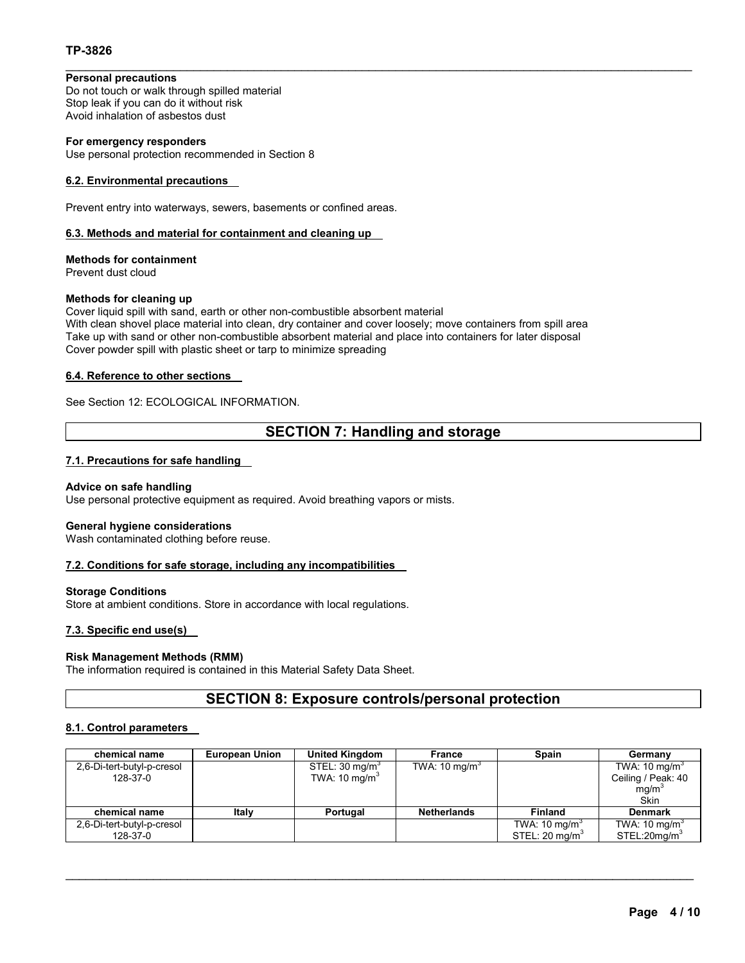# **TP-3826**

# **Personal precautions**

Do not touch or walk through spilled material Stop leak if you can do it without risk Avoid inhalation of asbestos dust

# **For emergency responders**

Use personal protection recommended in Section 8

# **6.2. Environmental precautions**

Prevent entry into waterways, sewers, basements or confined areas.

# **6.3. Methods and material for containment and cleaning up**

**Methods for containment**  Prevent dust cloud

### **Methods for cleaning up**

Cover liquid spill with sand, earth or other non-combustible absorbent material With clean shovel place material into clean, dry container and cover loosely; move containers from spill area Take up with sand or other non-combustible absorbent material and place into containers for later disposal Cover powder spill with plastic sheet or tarp to minimize spreading

# **6.4. Reference to other sections**

# See Section 12: ECOLOGICAL INFORMATION.

# **SECTION 7: Handling and storage**

 $\mathcal{L}_\mathcal{L} = \{ \mathcal{L}_\mathcal{L} = \{ \mathcal{L}_\mathcal{L} = \{ \mathcal{L}_\mathcal{L} = \{ \mathcal{L}_\mathcal{L} = \{ \mathcal{L}_\mathcal{L} = \{ \mathcal{L}_\mathcal{L} = \{ \mathcal{L}_\mathcal{L} = \{ \mathcal{L}_\mathcal{L} = \{ \mathcal{L}_\mathcal{L} = \{ \mathcal{L}_\mathcal{L} = \{ \mathcal{L}_\mathcal{L} = \{ \mathcal{L}_\mathcal{L} = \{ \mathcal{L}_\mathcal{L} = \{ \mathcal{L}_\mathcal{$ 

# **7.1. Precautions for safe handling**

### **Advice on safe handling**

Use personal protective equipment as required. Avoid breathing vapors or mists.

#### **General hygiene considerations**

Wash contaminated clothing before reuse.

# **7.2. Conditions for safe storage, including any incompatibilities**

#### **Storage Conditions**

Store at ambient conditions. Store in accordance with local regulations.

# **7.3. Specific end use(s)**

#### **Risk Management Methods (RMM)**

The information required is contained in this Material Safety Data Sheet.

# **SECTION 8: Exposure controls/personal protection**

# **8.1. Control parameters**

| chemical name              | <b>European Union</b> | <b>United Kingdom</b>      | France                   | <b>Spain</b>              | Germany                  |
|----------------------------|-----------------------|----------------------------|--------------------------|---------------------------|--------------------------|
| 2,6-Di-tert-butyl-p-cresol |                       | STEL: 30 mg/m <sup>3</sup> | TWA: $10 \text{ mg/m}^3$ |                           | TWA: $10 \text{ mg/m}^3$ |
| 128-37-0                   |                       | TWA: $10 \text{ mg/m}^3$   |                          |                           | Ceiling / Peak: 40       |
|                            |                       |                            |                          |                           | mq/m <sup>3</sup>        |
|                            |                       |                            |                          |                           | Skin                     |
| chemical name              | Italy                 | Portugal                   | <b>Netherlands</b>       | <b>Finland</b>            | <b>Denmark</b>           |
| 2,6-Di-tert-butyl-p-cresol |                       |                            |                          | TWA: 10 $mg/m3$           | TWA: $10 \text{ mg/m}^3$ |
| 128-37-0                   |                       |                            |                          | STEL: $20 \text{ mg/m}^3$ | STEL:20mg/m <sup>3</sup> |

 $\mathcal{L}_\text{max} = \mathcal{L}_\text{max} = \mathcal{L}_\text{max} = \mathcal{L}_\text{max} = \mathcal{L}_\text{max} = \mathcal{L}_\text{max} = \mathcal{L}_\text{max} = \mathcal{L}_\text{max} = \mathcal{L}_\text{max} = \mathcal{L}_\text{max} = \mathcal{L}_\text{max} = \mathcal{L}_\text{max} = \mathcal{L}_\text{max} = \mathcal{L}_\text{max} = \mathcal{L}_\text{max} = \mathcal{L}_\text{max} = \mathcal{L}_\text{max} = \mathcal{L}_\text{max} = \mathcal{$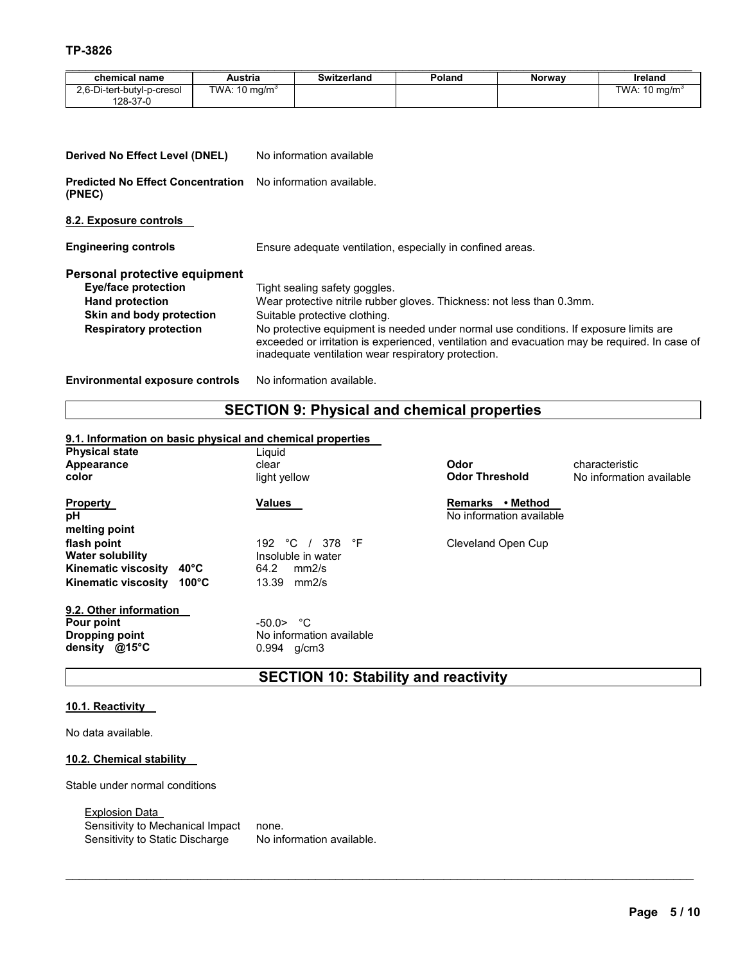| chemical name                                                                                                                                      | <b>Austria</b>           |                                                                                                                                                                                                                                                                                                                                                                                           | <b>Switzerland</b>        | Poland | Norway | Ireland                                        |
|----------------------------------------------------------------------------------------------------------------------------------------------------|--------------------------|-------------------------------------------------------------------------------------------------------------------------------------------------------------------------------------------------------------------------------------------------------------------------------------------------------------------------------------------------------------------------------------------|---------------------------|--------|--------|------------------------------------------------|
| 2,6-Di-tert-butyl-p-cresol<br>128-37-0                                                                                                             | TWA: $10 \text{ mg/m}^3$ |                                                                                                                                                                                                                                                                                                                                                                                           |                           |        |        | $\overline{\text{TW}}$ A: 10 mg/m <sup>3</sup> |
|                                                                                                                                                    |                          |                                                                                                                                                                                                                                                                                                                                                                                           |                           |        |        |                                                |
| Derived No Effect Level (DNEL)                                                                                                                     |                          |                                                                                                                                                                                                                                                                                                                                                                                           | No information available  |        |        |                                                |
| <b>Predicted No Effect Concentration</b><br>(PNEC)                                                                                                 |                          | No information available.                                                                                                                                                                                                                                                                                                                                                                 |                           |        |        |                                                |
| 8.2. Exposure controls                                                                                                                             |                          |                                                                                                                                                                                                                                                                                                                                                                                           |                           |        |        |                                                |
| <b>Engineering controls</b>                                                                                                                        |                          | Ensure adequate ventilation, especially in confined areas.                                                                                                                                                                                                                                                                                                                                |                           |        |        |                                                |
| Personal protective equipment<br><b>Eye/face protection</b><br><b>Hand protection</b><br>Skin and body protection<br><b>Respiratory protection</b> |                          | Tight sealing safety goggles.<br>Wear protective nitrile rubber gloves. Thickness: not less than 0.3mm.<br>Suitable protective clothing.<br>No protective equipment is needed under normal use conditions. If exposure limits are<br>exceeded or irritation is experienced, ventilation and evacuation may be required. In case of<br>inadequate ventilation wear respiratory protection. |                           |        |        |                                                |
| <b>Environmental exposure controls</b>                                                                                                             |                          |                                                                                                                                                                                                                                                                                                                                                                                           | No information available. |        |        |                                                |

# **SECTION 9: Physical and chemical properties**

# **9.1. Information on basic physical and chemical properties**

| <b>Physical state</b><br>Appearance<br>color                                                                                     | Liquid<br>clear<br>light yellow                                                    | Odor<br><b>Odor Threshold</b>                          | characteristic<br>No information available |
|----------------------------------------------------------------------------------------------------------------------------------|------------------------------------------------------------------------------------|--------------------------------------------------------|--------------------------------------------|
| <b>Property</b><br>рH<br>melting point                                                                                           | <b>Values</b>                                                                      | • Method<br><b>Remarks</b><br>No information available |                                            |
| flash point<br><b>Water solubility</b><br>$40^{\circ}$ C<br>Kinematic viscosity<br>$100^{\circ}$ C<br><b>Kinematic viscosity</b> | 192 $\degree$ C<br>378 °F<br>Insoluble in water<br>64.2<br>mm2/s<br>13.39<br>mm2/s | Cleveland Open Cup                                     |                                            |
| 9.2. Other information<br>Pour point<br><b>Dropping point</b><br>@15°C<br>density                                                | $-50.0$ > $°C$<br>No information available<br>0.994 g/cm3                          |                                                        |                                            |

**SECTION 10: Stability and reactivity** 

 $\mathcal{L}_\text{max} = \mathcal{L}_\text{max} = \mathcal{L}_\text{max} = \mathcal{L}_\text{max} = \mathcal{L}_\text{max} = \mathcal{L}_\text{max} = \mathcal{L}_\text{max} = \mathcal{L}_\text{max} = \mathcal{L}_\text{max} = \mathcal{L}_\text{max} = \mathcal{L}_\text{max} = \mathcal{L}_\text{max} = \mathcal{L}_\text{max} = \mathcal{L}_\text{max} = \mathcal{L}_\text{max} = \mathcal{L}_\text{max} = \mathcal{L}_\text{max} = \mathcal{L}_\text{max} = \mathcal{$ 

# **10.1. Reactivity**

No data available.

# **10.2. Chemical stability**

Stable under normal conditions

Explosion Data Sensitivity to Mechanical Impact none. Sensitivity to Static Discharge No information available.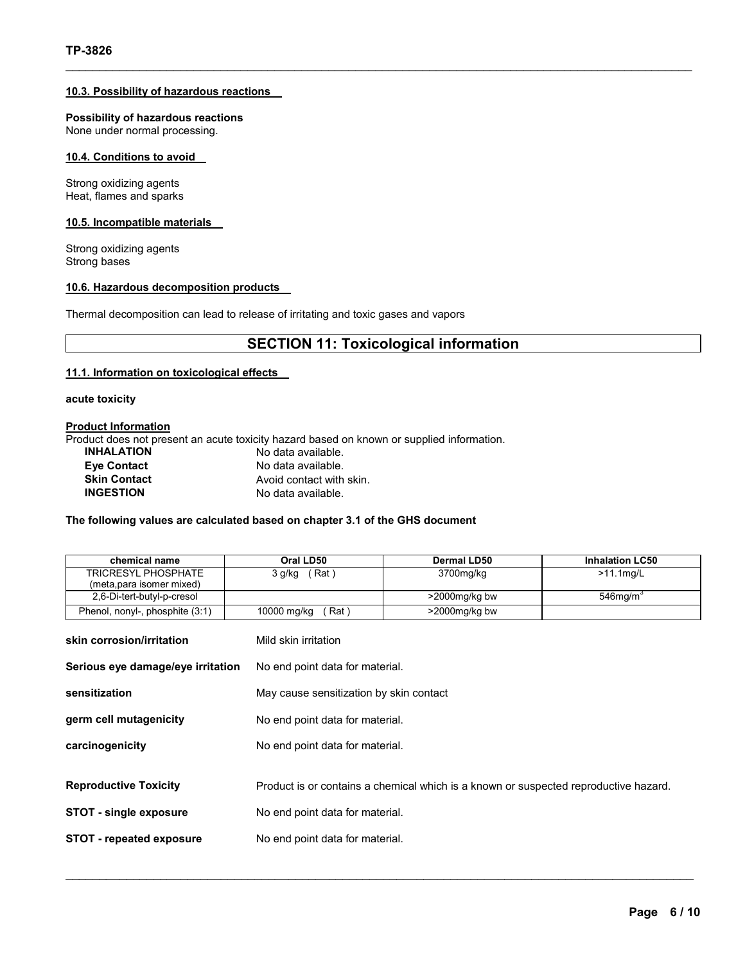# **10.3. Possibility of hazardous reactions**

**Possibility of hazardous reactions** None under normal processing.

### **10.4. Conditions to avoid**

Strong oxidizing agents Heat, flames and sparks

# **10.5. Incompatible materials**

Strong oxidizing agents Strong bases

#### **10.6. Hazardous decomposition products**

Thermal decomposition can lead to release of irritating and toxic gases and vapors

# **SECTION 11: Toxicological information**

 $\mathcal{L}_\mathcal{L} = \{ \mathcal{L}_\mathcal{L} = \{ \mathcal{L}_\mathcal{L} = \{ \mathcal{L}_\mathcal{L} = \{ \mathcal{L}_\mathcal{L} = \{ \mathcal{L}_\mathcal{L} = \{ \mathcal{L}_\mathcal{L} = \{ \mathcal{L}_\mathcal{L} = \{ \mathcal{L}_\mathcal{L} = \{ \mathcal{L}_\mathcal{L} = \{ \mathcal{L}_\mathcal{L} = \{ \mathcal{L}_\mathcal{L} = \{ \mathcal{L}_\mathcal{L} = \{ \mathcal{L}_\mathcal{L} = \{ \mathcal{L}_\mathcal{$ 

### **11.1. Information on toxicological effects**

**acute toxicity** 

# **Product Information**

Product does not present an acute toxicity hazard based on known or supplied information.

| <b>INHALATION</b>   | No data available.       |
|---------------------|--------------------------|
| <b>Eve Contact</b>  | No data available.       |
| <b>Skin Contact</b> | Avoid contact with skin. |
| <b>INGESTION</b>    | No data available.       |

# **The following values are calculated based on chapter 3.1 of the GHS document**

| chemical name                     | Oral LD50                       | <b>Dermal LD50</b>                                                                   | <b>Inhalation LC50</b> |  |
|-----------------------------------|---------------------------------|--------------------------------------------------------------------------------------|------------------------|--|
| <b>TRICRESYL PHOSPHATE</b>        | 3 g/kg (Rat)                    | 3700mg/kg                                                                            | $>11.1$ mg/L           |  |
| (meta, para isomer mixed)         |                                 |                                                                                      |                        |  |
| 2,6-Di-tert-butyl-p-cresol        |                                 | >2000mg/kg bw                                                                        | 546 $mg/m3$            |  |
| Phenol, nonyl-, phosphite (3:1)   | 10000 mg/kg<br>Rat)             | $>$ 2000 $mg/kg$ bw                                                                  |                        |  |
| skin corrosion/irritation         | Mild skin irritation            |                                                                                      |                        |  |
| Serious eye damage/eye irritation | No end point data for material. |                                                                                      |                        |  |
| sensitization                     |                                 | May cause sensitization by skin contact                                              |                        |  |
| germ cell mutagenicity            |                                 | No end point data for material.                                                      |                        |  |
| carcinogenicity                   |                                 | No end point data for material.                                                      |                        |  |
|                                   |                                 |                                                                                      |                        |  |
| <b>Reproductive Toxicity</b>      |                                 | Product is or contains a chemical which is a known or suspected reproductive hazard. |                        |  |
| <b>STOT - single exposure</b>     |                                 | No end point data for material.                                                      |                        |  |
| <b>STOT - repeated exposure</b>   |                                 | No end point data for material.                                                      |                        |  |
|                                   |                                 |                                                                                      |                        |  |

 $\mathcal{L}_\text{max} = \mathcal{L}_\text{max} = \mathcal{L}_\text{max} = \mathcal{L}_\text{max} = \mathcal{L}_\text{max} = \mathcal{L}_\text{max} = \mathcal{L}_\text{max} = \mathcal{L}_\text{max} = \mathcal{L}_\text{max} = \mathcal{L}_\text{max} = \mathcal{L}_\text{max} = \mathcal{L}_\text{max} = \mathcal{L}_\text{max} = \mathcal{L}_\text{max} = \mathcal{L}_\text{max} = \mathcal{L}_\text{max} = \mathcal{L}_\text{max} = \mathcal{L}_\text{max} = \mathcal{$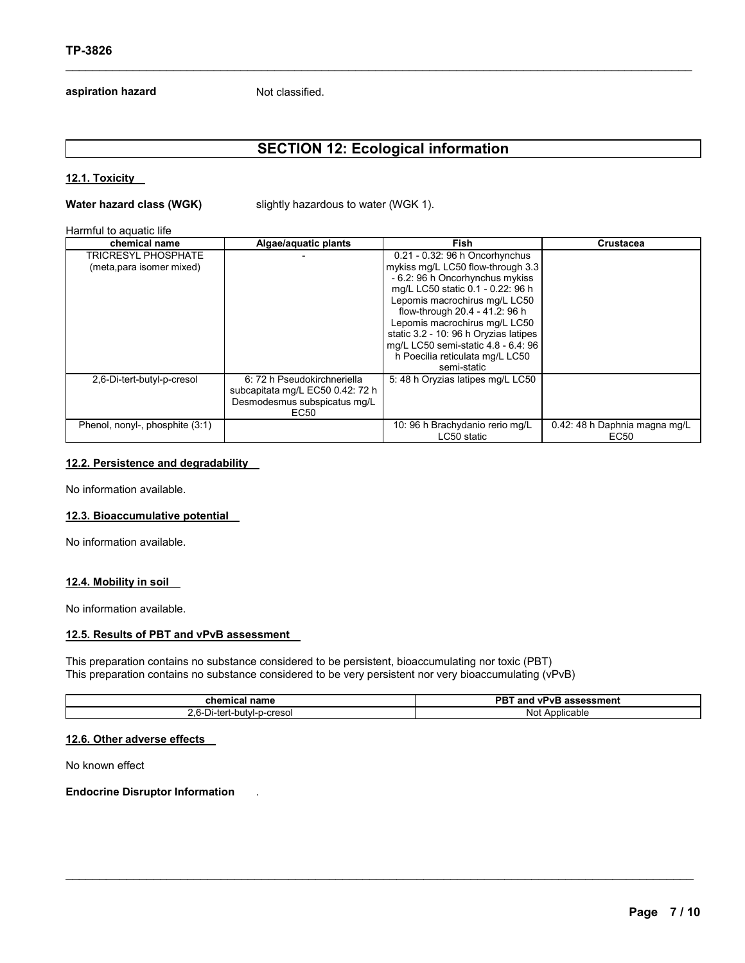# **aspiration hazard** Not classified.

# **SECTION 12: Ecological information**

 $\mathcal{L}_\mathcal{L} = \{ \mathcal{L}_\mathcal{L} = \{ \mathcal{L}_\mathcal{L} = \{ \mathcal{L}_\mathcal{L} = \{ \mathcal{L}_\mathcal{L} = \{ \mathcal{L}_\mathcal{L} = \{ \mathcal{L}_\mathcal{L} = \{ \mathcal{L}_\mathcal{L} = \{ \mathcal{L}_\mathcal{L} = \{ \mathcal{L}_\mathcal{L} = \{ \mathcal{L}_\mathcal{L} = \{ \mathcal{L}_\mathcal{L} = \{ \mathcal{L}_\mathcal{L} = \{ \mathcal{L}_\mathcal{L} = \{ \mathcal{L}_\mathcal{$ 

# **12.1. Toxicity**

**Water hazard class (WGK)** slightly hazardous to water (WGK 1).

#### Harmful to aquatic life

| chemical name                   | Algae/aquatic plants             | Fish                                  | Crustacea                     |
|---------------------------------|----------------------------------|---------------------------------------|-------------------------------|
| <b>TRICRESYL PHOSPHATE</b>      |                                  | 0.21 - 0.32: 96 h Oncorhynchus        |                               |
| (meta, para isomer mixed)       |                                  | mykiss mg/L LC50 flow-through 3.3     |                               |
|                                 |                                  | - 6.2: 96 h Oncorhynchus mykiss       |                               |
|                                 |                                  | mg/L LC50 static 0.1 - 0.22: 96 h     |                               |
|                                 |                                  | Lepomis macrochirus mg/L LC50         |                               |
|                                 |                                  | flow-through 20.4 - 41.2: 96 h        |                               |
|                                 |                                  | Lepomis macrochirus mg/L LC50         |                               |
|                                 |                                  | static 3.2 - 10: 96 h Oryzias latipes |                               |
|                                 |                                  | mg/L LC50 semi-static 4.8 - 6.4: 96   |                               |
|                                 |                                  | h Poecilia reticulata mg/L LC50       |                               |
|                                 |                                  | semi-static                           |                               |
| 2,6-Di-tert-butyl-p-cresol      | 6: 72 h Pseudokirchneriella      | 5: 48 h Oryzias latipes mg/L LC50     |                               |
|                                 | subcapitata mg/L EC50 0.42: 72 h |                                       |                               |
|                                 | Desmodesmus subspicatus mg/L     |                                       |                               |
|                                 | EC50                             |                                       |                               |
| Phenol, nonyl-, phosphite (3:1) |                                  | 10: 96 h Brachydanio rerio mg/L       | 0.42: 48 h Daphnia magna mg/L |
|                                 |                                  | LC50 static                           | EC <sub>50</sub>              |

# **12.2. Persistence and degradability**

No information available.

# **12.3. Bioaccumulative potential**

No information available.

### **12.4. Mobility in soil**

No information available.

# **12.5. Results of PBT and vPvB assessment**

This preparation contains no substance considered to be persistent, bioaccumulating nor toxic (PBT) This preparation contains no substance considered to be very persistent nor very bioaccumulating (vPvB)

| chemical name                                 | <b>DDT</b><br>and<br><b>vPvB</b><br>`assessment<br>ו כו |  |
|-----------------------------------------------|---------------------------------------------------------|--|
| -creso<br>t-butvl-<br>اer-الـ<br>$\mathbf{v}$ | Applicable<br>Not                                       |  |

 $\mathcal{L}_\text{max} = \mathcal{L}_\text{max} = \mathcal{L}_\text{max} = \mathcal{L}_\text{max} = \mathcal{L}_\text{max} = \mathcal{L}_\text{max} = \mathcal{L}_\text{max} = \mathcal{L}_\text{max} = \mathcal{L}_\text{max} = \mathcal{L}_\text{max} = \mathcal{L}_\text{max} = \mathcal{L}_\text{max} = \mathcal{L}_\text{max} = \mathcal{L}_\text{max} = \mathcal{L}_\text{max} = \mathcal{L}_\text{max} = \mathcal{L}_\text{max} = \mathcal{L}_\text{max} = \mathcal{$ 

# **12.6. Other adverse effects**

No known effect

#### **Endocrine Disruptor Information** .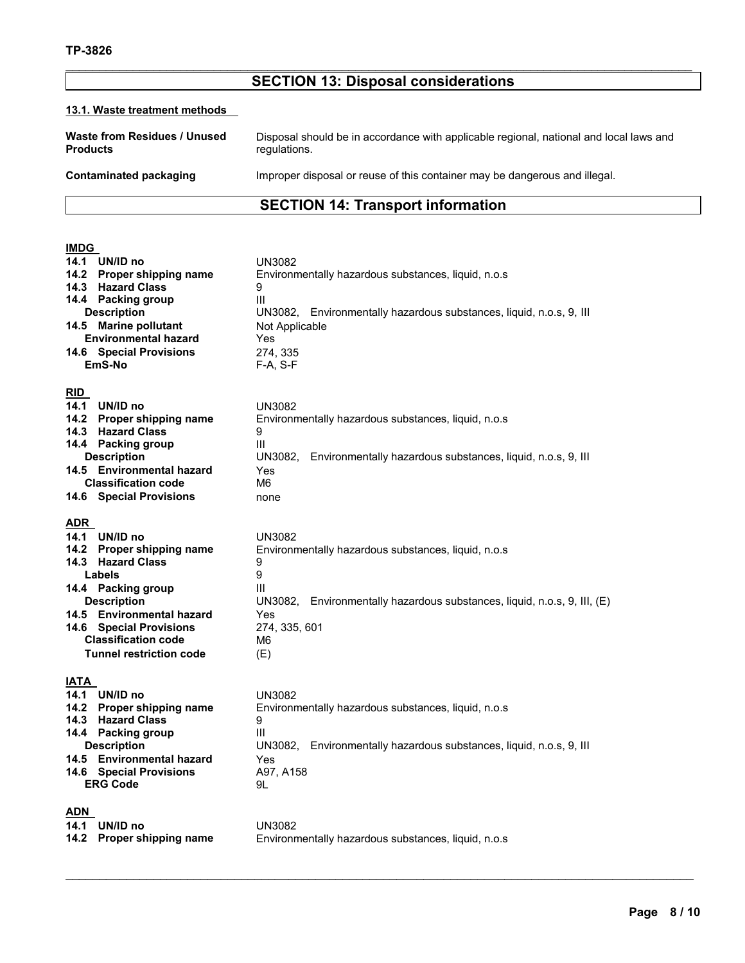# $\mathcal{L}_\mathcal{L} = \{ \mathcal{L}_\mathcal{L} = \{ \mathcal{L}_\mathcal{L} = \{ \mathcal{L}_\mathcal{L} = \{ \mathcal{L}_\mathcal{L} = \{ \mathcal{L}_\mathcal{L} = \{ \mathcal{L}_\mathcal{L} = \{ \mathcal{L}_\mathcal{L} = \{ \mathcal{L}_\mathcal{L} = \{ \mathcal{L}_\mathcal{L} = \{ \mathcal{L}_\mathcal{L} = \{ \mathcal{L}_\mathcal{L} = \{ \mathcal{L}_\mathcal{L} = \{ \mathcal{L}_\mathcal{L} = \{ \mathcal{L}_\mathcal{$ **SECTION 13: Disposal considerations**

# **13.1. Waste treatment methods**

| Waste from Residues / Unused | Disposal should be in accordance with applicable regional, national and local laws and |
|------------------------------|----------------------------------------------------------------------------------------|
| <b>Products</b>              | regulations.                                                                           |
| Contaminated packaging       | Improper disposal or reuse of this container may be dangerous and illegal.             |

# **SECTION 14: Transport information**

# **IMDG**

| 14.1                | UN/ID no<br>14.2 Proper shipping name<br>14.3 Hazard Class<br>14.4 Packing group<br><b>Description</b><br>14.5 Marine pollutant<br><b>Environmental hazard</b><br>14.6 Special Provisions<br>EmS-No                                             | <b>UN3082</b><br>Environmentally hazardous substances, liquid, n.o.s.<br>9<br>III<br>UN3082, Environmentally hazardous substances, liquid, n.o.s, 9, III<br>Not Applicable<br>Yes<br>274, 335<br>$F-A, S-F$      |
|---------------------|-------------------------------------------------------------------------------------------------------------------------------------------------------------------------------------------------------------------------------------------------|------------------------------------------------------------------------------------------------------------------------------------------------------------------------------------------------------------------|
| RID<br>14.1<br>14.2 | UN/ID no<br><b>Proper shipping name</b><br>14.3 Hazard Class<br>14.4 Packing group<br><b>Description</b><br>14.5 Environmental hazard<br><b>Classification code</b><br>14.6 Special Provisions                                                  | <b>UN3082</b><br>Environmentally hazardous substances, liquid, n.o.s<br>9<br>III<br>UN3082, Environmentally hazardous substances, liquid, n.o.s, 9, III<br><b>Yes</b><br>M <sub>6</sub><br>none                  |
| <b>ADR</b><br>14.3  | 14.1 UN/ID no<br>14.2 Proper shipping name<br><b>Hazard Class</b><br>Labels<br>14.4 Packing group<br><b>Description</b><br>14.5 Environmental hazard<br>14.6 Special Provisions<br><b>Classification code</b><br><b>Tunnel restriction code</b> | <b>UN3082</b><br>Environmentally hazardous substances, liquid, n.o.s<br>9<br>9<br>Ш<br>UN3082, Environmentally hazardous substances, liquid, n.o.s, 9, III, (E)<br>Yes<br>274, 335, 601<br>M <sub>6</sub><br>(E) |
| <b>IATA</b>         | 14.1 UN/ID no<br>14.2 Proper shipping name<br>14.3 Hazard Class<br>11.1 Dacking aroun                                                                                                                                                           | <b>UN3082</b><br>Environmentally hazardous substances, liquid, n.o.s<br>9<br>$\mathbf{H}$                                                                                                                        |

**14.4 Packing group** III **Description** UN3082, Environmentally hazardous substances, liquid, n.o.s, 9, III **14.5 Environmental hazard** Yes<br>**14.6 Special Provisions** A97, A158 **14.6 Special Provisions A97**<br>**ERG Code**  9L

# **ADN**

**14.1 UN/ID no CONTACK UN3082<br>14.2 Proper shipping name** Environn

**ERG** Code

**14.2 Proper shipping name** Environmentally hazardous substances, liquid, n.o.s

 $\mathcal{L}_\text{max} = \mathcal{L}_\text{max} = \mathcal{L}_\text{max} = \mathcal{L}_\text{max} = \mathcal{L}_\text{max} = \mathcal{L}_\text{max} = \mathcal{L}_\text{max} = \mathcal{L}_\text{max} = \mathcal{L}_\text{max} = \mathcal{L}_\text{max} = \mathcal{L}_\text{max} = \mathcal{L}_\text{max} = \mathcal{L}_\text{max} = \mathcal{L}_\text{max} = \mathcal{L}_\text{max} = \mathcal{L}_\text{max} = \mathcal{L}_\text{max} = \mathcal{L}_\text{max} = \mathcal{$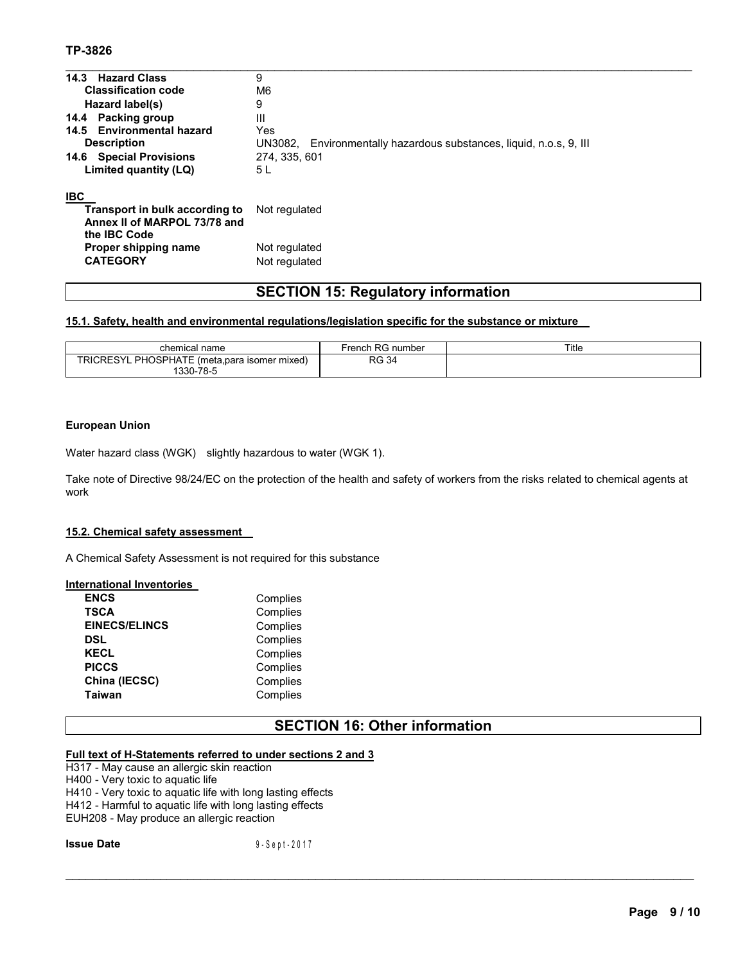# **TP-3826**

| 14.3 Hazard Class              | 9                                                                   |
|--------------------------------|---------------------------------------------------------------------|
| <b>Classification code</b>     | M6                                                                  |
| Hazard label(s)                | 9                                                                   |
| 14.4 Packing group             | Ш                                                                   |
| 14.5 Environmental hazard      | Yes                                                                 |
| <b>Description</b>             | UN3082, Environmentally hazardous substances, liquid, n.o.s, 9, III |
| <b>14.6 Special Provisions</b> | 274, 335, 601                                                       |
| Limited quantity (LQ)          | 5 L                                                                 |
| <b>IBC</b>                     |                                                                     |
| Transport in bulk according to | Not regulated                                                       |
| Annex II of MARPOL 73/78 and   |                                                                     |
| the <b>IBC</b> Code            |                                                                     |

# **SECTION 15: Regulatory information**

 $\mathcal{L}_\mathcal{L} = \{ \mathcal{L}_\mathcal{L} = \{ \mathcal{L}_\mathcal{L} = \{ \mathcal{L}_\mathcal{L} = \{ \mathcal{L}_\mathcal{L} = \{ \mathcal{L}_\mathcal{L} = \{ \mathcal{L}_\mathcal{L} = \{ \mathcal{L}_\mathcal{L} = \{ \mathcal{L}_\mathcal{L} = \{ \mathcal{L}_\mathcal{L} = \{ \mathcal{L}_\mathcal{L} = \{ \mathcal{L}_\mathcal{L} = \{ \mathcal{L}_\mathcal{L} = \{ \mathcal{L}_\mathcal{L} = \{ \mathcal{L}_\mathcal{$ 

# **15.1. Safety, health and environmental regulations/legislation specific for the substance or mixture**

**Not regulated** 

| chemical name                                                | French RG number | Title |
|--------------------------------------------------------------|------------------|-------|
| PHOSPHATE (meta,para isomer mixed)<br>TRICRESYL<br>1330-78-5 | RG<br>: 34       |       |

### **European Union**

Water hazard class (WGK) slightly hazardous to water (WGK 1).

**Proper shipping name Not regulated**<br> **CATEGORY Not regulated** 

Take note of Directive 98/24/EC on the protection of the health and safety of workers from the risks related to chemical agents at work

#### **15.2. Chemical safety assessment**

A Chemical Safety Assessment is not required for this substance

#### **International Inventories**

| <b>ENCS</b>          | Complies |
|----------------------|----------|
| <b>TSCA</b>          | Complies |
| <b>EINECS/ELINCS</b> | Complies |
| DSL                  | Complies |
| KECL                 | Complies |
| <b>PICCS</b>         | Complies |
| China (IECSC)        | Complies |
| <b>Taiwan</b>        | Complies |

# **SECTION 16: Other information**

 $\mathcal{L}_\mathcal{L} = \{ \mathcal{L}_\mathcal{L} = \{ \mathcal{L}_\mathcal{L} = \{ \mathcal{L}_\mathcal{L} = \{ \mathcal{L}_\mathcal{L} = \{ \mathcal{L}_\mathcal{L} = \{ \mathcal{L}_\mathcal{L} = \{ \mathcal{L}_\mathcal{L} = \{ \mathcal{L}_\mathcal{L} = \{ \mathcal{L}_\mathcal{L} = \{ \mathcal{L}_\mathcal{L} = \{ \mathcal{L}_\mathcal{L} = \{ \mathcal{L}_\mathcal{L} = \{ \mathcal{L}_\mathcal{L} = \{ \mathcal{L}_\mathcal{$ 

# **Full text of H-Statements referred to under sections 2 and 3**

H317 - May cause an allergic skin reaction H400 - Very toxic to aquatic life H410 - Very toxic to aquatic life with long lasting effects H412 - Harmful to aquatic life with long lasting effects EUH208 - May produce an allergic reaction

**Issue Date** 9-Sept-2017